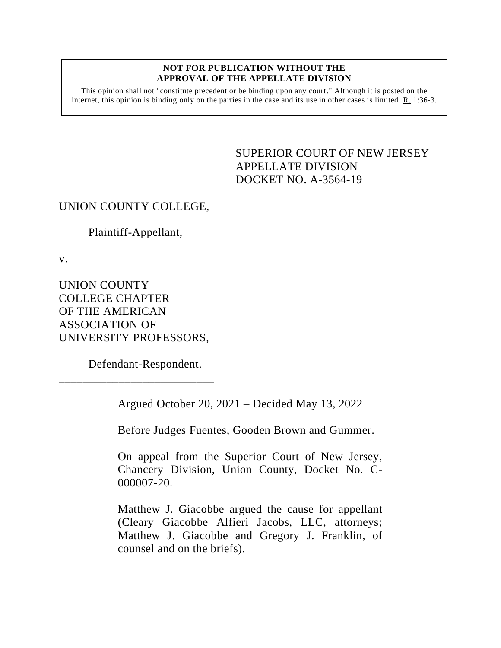## **NOT FOR PUBLICATION WITHOUT THE APPROVAL OF THE APPELLATE DIVISION**

This opinion shall not "constitute precedent or be binding upon any court." Although it is posted on the internet, this opinion is binding only on the parties in the case and its use in other cases is limited. R. 1:36-3.

> <span id="page-0-0"></span>SUPERIOR COURT OF NEW JERSEY APPELLATE DIVISION DOCKET NO. A-3564-19

## UNION COUNTY COLLEGE,

Plaintiff-Appellant,

v.

UNION COUNTY COLLEGE CHAPTER OF THE AMERICAN ASSOCIATION OF UNIVERSITY PROFESSORS,

Defendant-Respondent.

\_\_\_\_\_\_\_\_\_\_\_\_\_\_\_\_\_\_\_\_\_\_\_\_\_\_

Argued October 20, 2021 – Decided May 13, 2022

Before Judges Fuentes, Gooden Brown and Gummer.

On appeal from the Superior Court of New Jersey, Chancery Division, Union County, Docket No. C-000007-20.

Matthew J. Giacobbe argued the cause for appellant (Cleary Giacobbe Alfieri Jacobs, LLC, attorneys; Matthew J. Giacobbe and Gregory J. Franklin, of counsel and on the briefs).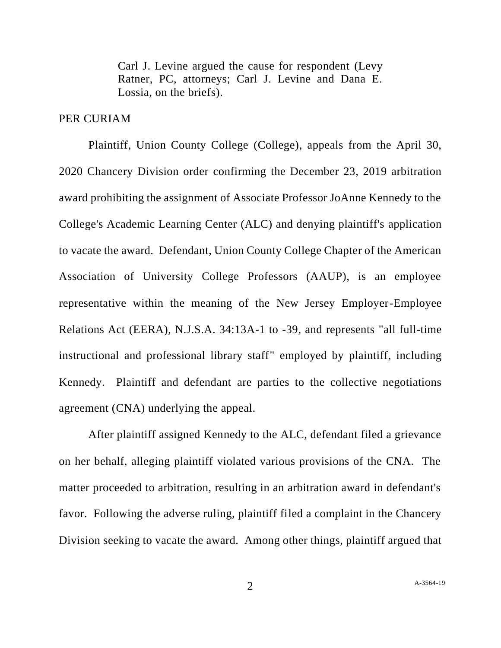Carl J. Levine argued the cause for respondent (Levy Ratner, PC, attorneys; Carl J. Levine and Dana E. Lossia, on the briefs).

## PER CURIAM

Plaintiff, Union County College (College), appeals from the April 30, 2020 Chancery Division order confirming the December 23, 2019 arbitration award prohibiting the assignment of Associate Professor JoAnne Kennedy to the College's Academic Learning Center (ALC) and denying plaintiff's application to vacate the award. Defendant, Union County College Chapter of the American Association of University College Professors (AAUP), is an employee representative within the meaning of the New Jersey Employer-Employee Relations Act (EERA), N.J.S.A. 34:13A-1 to -39, and represents "all full-time instructional and professional library staff" employed by plaintiff, including Kennedy. Plaintiff and defendant are parties to the collective negotiations agreement (CNA) underlying the appeal.

After plaintiff assigned Kennedy to the ALC, defendant filed a grievance on her behalf, alleging plaintiff violated various provisions of the CNA. The matter proceeded to arbitration, resulting in an arbitration award in defendant's favor. Following the adverse ruling, plaintiff filed a complaint in the Chancery Division seeking to vacate the award. Among other things, plaintiff argued that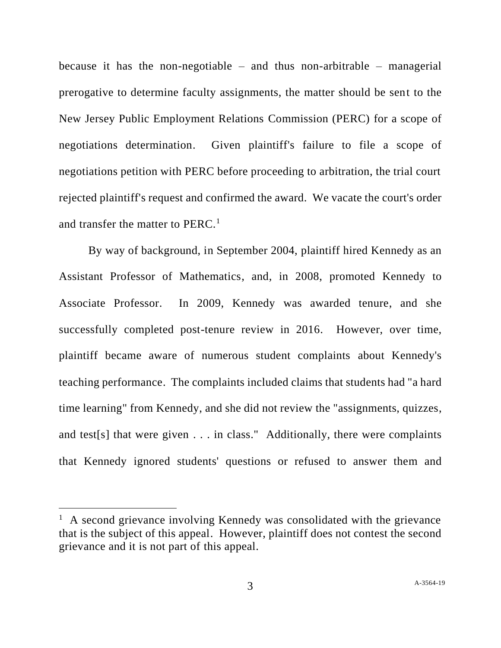because it has the non-negotiable – and thus non-arbitrable – managerial prerogative to determine faculty assignments, the matter should be sent to the New Jersey Public Employment Relations Commission (PERC) for a scope of negotiations determination. Given plaintiff's failure to file a scope of negotiations petition with PERC before proceeding to arbitration, the trial court rejected plaintiff's request and confirmed the award. We vacate the court's order and transfer the matter to PERC.<sup>1</sup>

By way of background, in September 2004, plaintiff hired Kennedy as an Assistant Professor of Mathematics, and, in 2008, promoted Kennedy to Associate Professor. In 2009, Kennedy was awarded tenure, and she successfully completed post-tenure review in 2016. However, over time, plaintiff became aware of numerous student complaints about Kennedy's teaching performance. The complaints included claims that students had "a hard time learning" from Kennedy, and she did not review the "assignments, quizzes, and test[s] that were given . . . in class." Additionally, there were complaints that Kennedy ignored students' questions or refused to answer them and

<sup>&</sup>lt;sup>1</sup> A second grievance involving Kennedy was consolidated with the grievance that is the subject of this appeal. However, plaintiff does not contest the second grievance and it is not part of this appeal.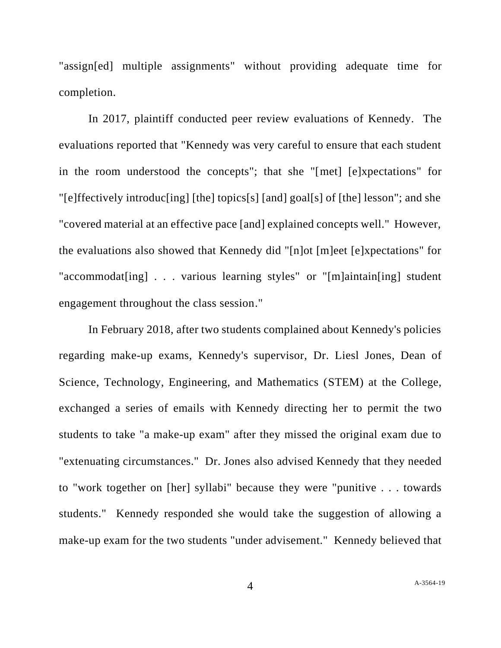"assign[ed] multiple assignments" without providing adequate time for completion.

In 2017, plaintiff conducted peer review evaluations of Kennedy. The evaluations reported that "Kennedy was very careful to ensure that each student in the room understood the concepts"; that she "[met] [e]xpectations" for "[e]ffectively introduc[ing] [the] topics[s] [and] goal[s] of [the] lesson"; and she "covered material at an effective pace [and] explained concepts well." However, the evaluations also showed that Kennedy did "[n]ot [m]eet [e]xpectations" for "accommodat[ing] . . . various learning styles" or "[m]aintain[ing] student engagement throughout the class session."

In February 2018, after two students complained about Kennedy's policies regarding make-up exams, Kennedy's supervisor, Dr. Liesl Jones, Dean of Science, Technology, Engineering, and Mathematics (STEM) at the College, exchanged a series of emails with Kennedy directing her to permit the two students to take "a make-up exam" after they missed the original exam due to "extenuating circumstances." Dr. Jones also advised Kennedy that they needed to "work together on [her] syllabi" because they were "punitive . . . towards students." Kennedy responded she would take the suggestion of allowing a make-up exam for the two students "under advisement." Kennedy believed that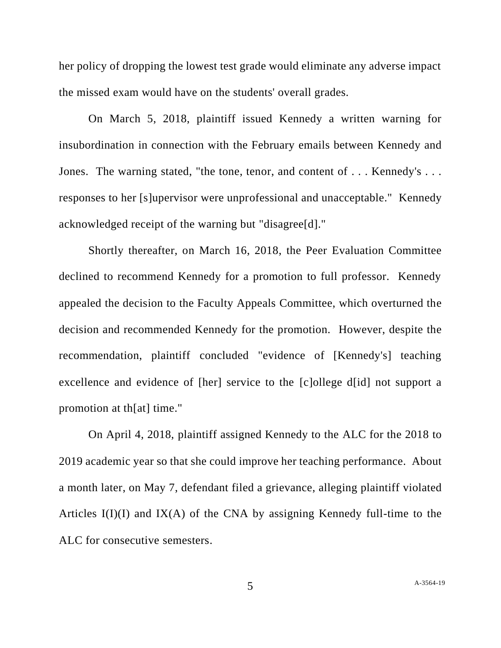her policy of dropping the lowest test grade would eliminate any adverse impact the missed exam would have on the students' overall grades.

On March 5, 2018, plaintiff issued Kennedy a written warning for insubordination in connection with the February emails between Kennedy and Jones. The warning stated, "the tone, tenor, and content of . . . Kennedy's . . . responses to her [s]upervisor were unprofessional and unacceptable." Kennedy acknowledged receipt of the warning but "disagree[d]."

Shortly thereafter, on March 16, 2018, the Peer Evaluation Committee declined to recommend Kennedy for a promotion to full professor. Kennedy appealed the decision to the Faculty Appeals Committee, which overturned the decision and recommended Kennedy for the promotion. However, despite the recommendation, plaintiff concluded "evidence of [Kennedy's] teaching excellence and evidence of [her] service to the [c]ollege d[id] not support a promotion at th[at] time."

On April 4, 2018, plaintiff assigned Kennedy to the ALC for the 2018 to 2019 academic year so that she could improve her teaching performance. About a month later, on May 7, defendant filed a grievance, alleging plaintiff violated Articles  $I(I)(I)$  and  $IX(A)$  of the CNA by assigning Kennedy full-time to the ALC for consecutive semesters.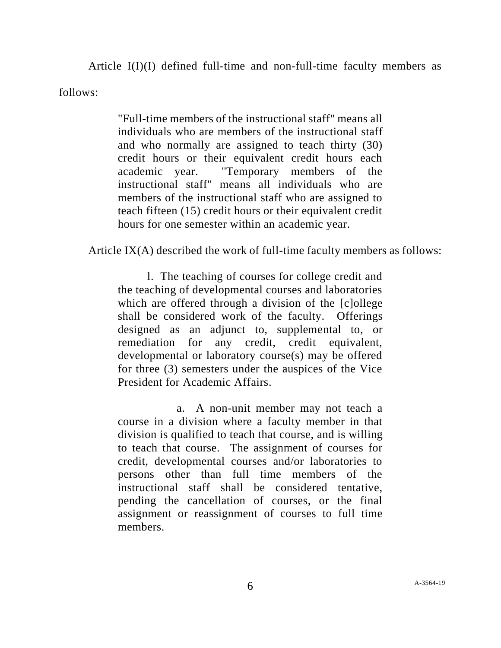Article I(I)(I) defined full-time and non-full-time faculty members as follows:

> "Full-time members of the instructional staff" means all individuals who are members of the instructional staff and who normally are assigned to teach thirty (30) credit hours or their equivalent credit hours each academic year. ''Temporary members of the instructional staff'' means all individuals who are members of the instructional staff who are assigned to teach fifteen (15) credit hours or their equivalent credit hours for one semester within an academic year.

Article IX(A) described the work of full-time faculty members as follows:

l. The teaching of courses for college credit and the teaching of developmental courses and laboratories which are offered through a division of the [c]ollege shall be considered work of the faculty. Offerings designed as an adjunct to, supplemental to, or remediation for any credit, credit equivalent, developmental or laboratory course(s) may be offered for three (3) semesters under the auspices of the Vice President for Academic Affairs.

a. A non-unit member may not teach a course in a division where a faculty member in that division is qualified to teach that course, and is willing to teach that course. The assignment of courses for credit, developmental courses and/or laboratories to persons other than full time members of the instructional staff shall be considered tentative, pending the cancellation of courses, or the final assignment or reassignment of courses to full time members.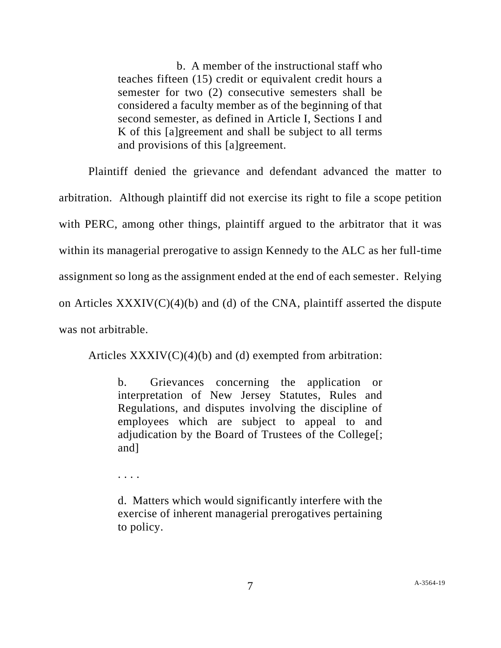b. A member of the instructional staff who teaches fifteen (15) credit or equivalent credit hours a semester for two (2) consecutive semesters shall be considered a faculty member as of the beginning of that second semester, as defined in Article I, Sections I and K of this [a]greement and shall be subject to all terms and provisions of this [a]greement.

Plaintiff denied the grievance and defendant advanced the matter to arbitration. Although plaintiff did not exercise its right to file a scope petition with PERC, among other things, plaintiff argued to the arbitrator that it was within its managerial prerogative to assign Kennedy to the ALC as her full-time assignment so long as the assignment ended at the end of each semester. Relying on Articles  $XXXIV(C)(4)(b)$  and (d) of the CNA, plaintiff asserted the dispute was not arbitrable.

Articles  $XXXIV(C)(4)(b)$  and (d) exempted from arbitration:

b. Grievances concerning the application or interpretation of New Jersey Statutes, Rules and Regulations, and disputes involving the discipline of employees which are subject to appeal to and adjudication by the Board of Trustees of the College[; and]

. . . .

d. Matters which would significantly interfere with the exercise of inherent managerial prerogatives pertaining to policy.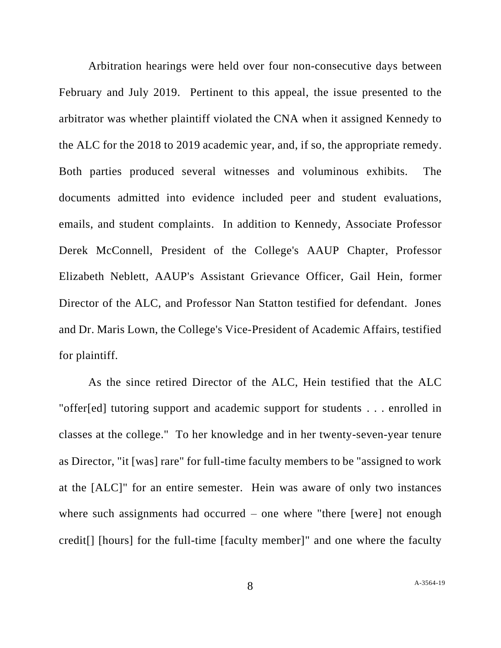Arbitration hearings were held over four non-consecutive days between February and July 2019. Pertinent to this appeal, the issue presented to the arbitrator was whether plaintiff violated the CNA when it assigned Kennedy to the ALC for the 2018 to 2019 academic year, and, if so, the appropriate remedy. Both parties produced several witnesses and voluminous exhibits. The documents admitted into evidence included peer and student evaluations, emails, and student complaints. In addition to Kennedy, Associate Professor Derek McConnell, President of the College's AAUP Chapter, Professor Elizabeth Neblett, AAUP's Assistant Grievance Officer, Gail Hein, former Director of the ALC, and Professor Nan Statton testified for defendant. Jones and Dr. Maris Lown, the College's Vice-President of Academic Affairs, testified for plaintiff.

As the since retired Director of the ALC, Hein testified that the ALC "offer[ed] tutoring support and academic support for students . . . enrolled in classes at the college." To her knowledge and in her twenty-seven-year tenure as Director, "it [was] rare" for full-time faculty members to be "assigned to work at the [ALC]" for an entire semester. Hein was aware of only two instances where such assignments had occurred – one where "there [were] not enough credit[] [hours] for the full-time [faculty member]" and one where the faculty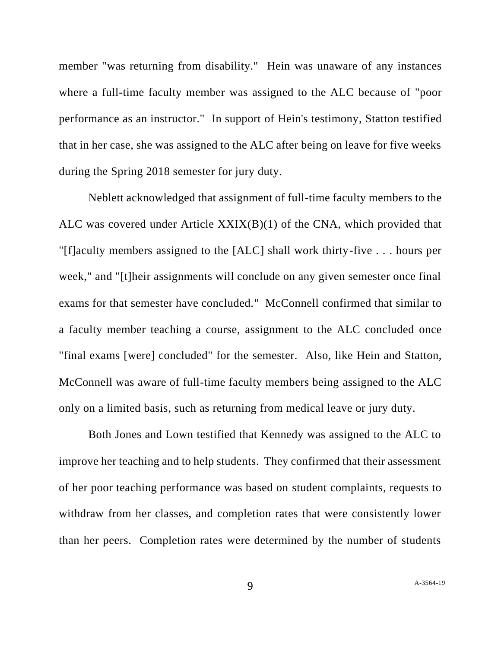member "was returning from disability." Hein was unaware of any instances where a full-time faculty member was assigned to the ALC because of "poor performance as an instructor." In support of Hein's testimony, Statton testified that in her case, she was assigned to the ALC after being on leave for five weeks during the Spring 2018 semester for jury duty.

Neblett acknowledged that assignment of full-time faculty members to the ALC was covered under Article XXIX(B)(1) of the CNA, which provided that "[f]aculty members assigned to the [ALC] shall work thirty-five . . . hours per week," and "[t]heir assignments will conclude on any given semester once final exams for that semester have concluded." McConnell confirmed that similar to a faculty member teaching a course, assignment to the ALC concluded once "final exams [were] concluded" for the semester. Also, like Hein and Statton, McConnell was aware of full-time faculty members being assigned to the ALC only on a limited basis, such as returning from medical leave or jury duty.

Both Jones and Lown testified that Kennedy was assigned to the ALC to improve her teaching and to help students. They confirmed that their assessment of her poor teaching performance was based on student complaints, requests to withdraw from her classes, and completion rates that were consistently lower than her peers. Completion rates were determined by the number of students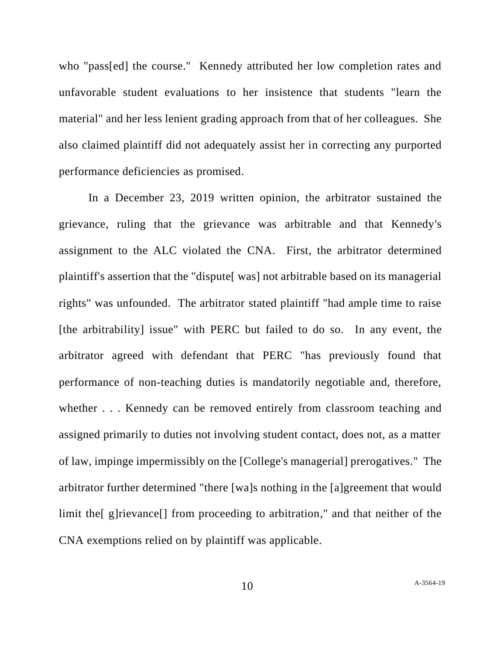who "pass[ed] the course." Kennedy attributed her low completion rates and unfavorable student evaluations to her insistence that students "learn the material" and her less lenient grading approach from that of her colleagues. She also claimed plaintiff did not adequately assist her in correcting any purported performance deficiencies as promised.

In a December 23, 2019 written opinion, the arbitrator sustained the grievance, ruling that the grievance was arbitrable and that Kennedy's assignment to the ALC violated the CNA. First, the arbitrator determined plaintiff's assertion that the "dispute[ was] not arbitrable based on its managerial rights" was unfounded. The arbitrator stated plaintiff "had ample time to raise [the arbitrability] issue" with PERC but failed to do so. In any event, the arbitrator agreed with defendant that PERC "has previously found that performance of non-teaching duties is mandatorily negotiable and, therefore, whether . . . Kennedy can be removed entirely from classroom teaching and assigned primarily to duties not involving student contact, does not, as a matter of law, impinge impermissibly on the [College's managerial] prerogatives." The arbitrator further determined "there [wa]s nothing in the [a]greement that would limit the [g]rievance<sup>[]</sup> from proceeding to arbitration," and that neither of the CNA exemptions relied on by plaintiff was applicable.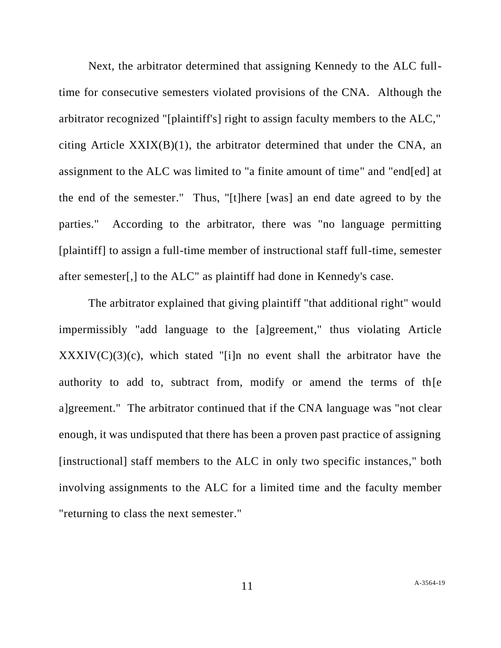Next, the arbitrator determined that assigning Kennedy to the ALC fulltime for consecutive semesters violated provisions of the CNA. Although the arbitrator recognized "[plaintiff's] right to assign faculty members to the ALC," citing Article  $XXIX(B)(1)$ , the arbitrator determined that under the CNA, an assignment to the ALC was limited to "a finite amount of time" and "end[ed] at the end of the semester." Thus, "[t]here [was] an end date agreed to by the parties." According to the arbitrator, there was "no language permitting [plaintiff] to assign a full-time member of instructional staff full-time, semester after semester[,] to the ALC" as plaintiff had done in Kennedy's case.

The arbitrator explained that giving plaintiff "that additional right" would impermissibly "add language to the [a]greement," thus violating Article  $XXXIV(C)(3)(c)$ , which stated "[i]n no event shall the arbitrator have the authority to add to, subtract from, modify or amend the terms of th[e a]greement." The arbitrator continued that if the CNA language was "not clear enough, it was undisputed that there has been a proven past practice of assigning [instructional] staff members to the ALC in only two specific instances," both involving assignments to the ALC for a limited time and the faculty member "returning to class the next semester."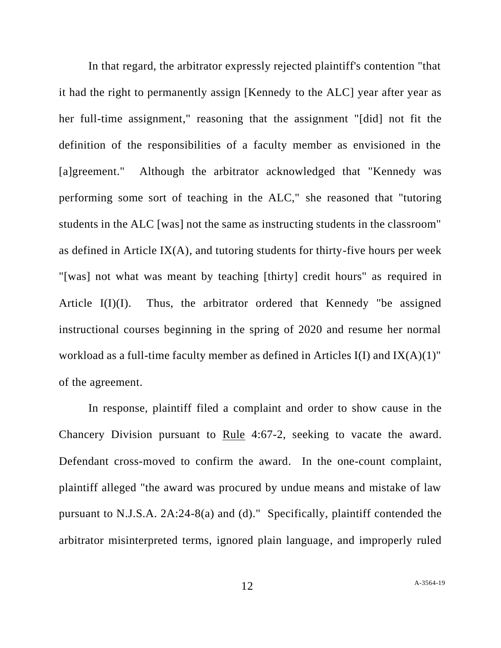In that regard, the arbitrator expressly rejected plaintiff's contention "that it had the right to permanently assign [Kennedy to the ALC] year after year as her full-time assignment," reasoning that the assignment "[did] not fit the definition of the responsibilities of a faculty member as envisioned in the [a]greement." Although the arbitrator acknowledged that "Kennedy was performing some sort of teaching in the ALC," she reasoned that "tutoring students in the ALC [was] not the same as instructing students in the classroom" as defined in Article IX $(A)$ , and tutoring students for thirty-five hours per week "[was] not what was meant by teaching [thirty] credit hours" as required in Article I(I)(I). Thus, the arbitrator ordered that Kennedy "be assigned instructional courses beginning in the spring of 2020 and resume her normal workload as a full-time faculty member as defined in Articles I(I) and IX(A)(1)" of the agreement.

In response, plaintiff filed a complaint and order to show cause in the Chancery Division pursuant to Rule 4:67-2, seeking to vacate the award. Defendant cross-moved to confirm the award. In the one-count complaint, plaintiff alleged "the award was procured by undue means and mistake of law pursuant to N.J.S.A. 2A:24-8(a) and (d)." Specifically, plaintiff contended the arbitrator misinterpreted terms, ignored plain language, and improperly ruled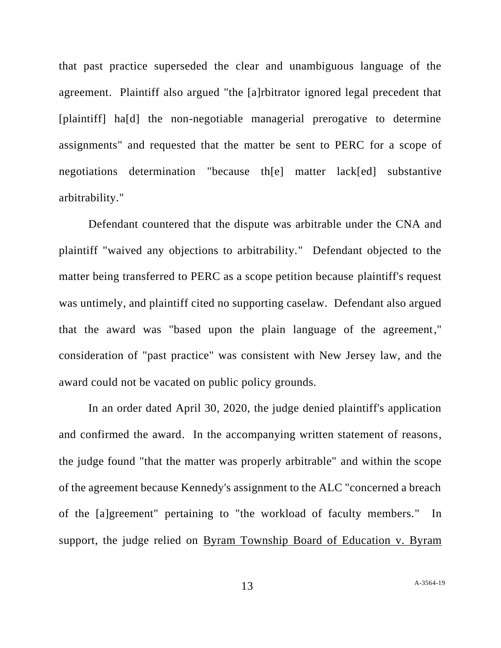that past practice superseded the clear and unambiguous language of the agreement. Plaintiff also argued "the [a]rbitrator ignored legal precedent that [plaintiff] ha[d] the non-negotiable managerial prerogative to determine assignments" and requested that the matter be sent to PERC for a scope of negotiations determination "because th[e] matter lack[ed] substantive arbitrability."

Defendant countered that the dispute was arbitrable under the CNA and plaintiff "waived any objections to arbitrability." Defendant objected to the matter being transferred to PERC as a scope petition because plaintiff's request was untimely, and plaintiff cited no supporting caselaw. Defendant also argued that the award was "based upon the plain language of the agreement," consideration of "past practice" was consistent with New Jersey law, and the award could not be vacated on public policy grounds.

In an order dated April 30, 2020, the judge denied plaintiff's application and confirmed the award. In the accompanying written statement of reasons, the judge found "that the matter was properly arbitrable" and within the scope of the agreement because Kennedy's assignment to the ALC "concerned a breach of the [a]greement" pertaining to "the workload of faculty members." In support, the judge relied on Byram Township Board of Education v. Byram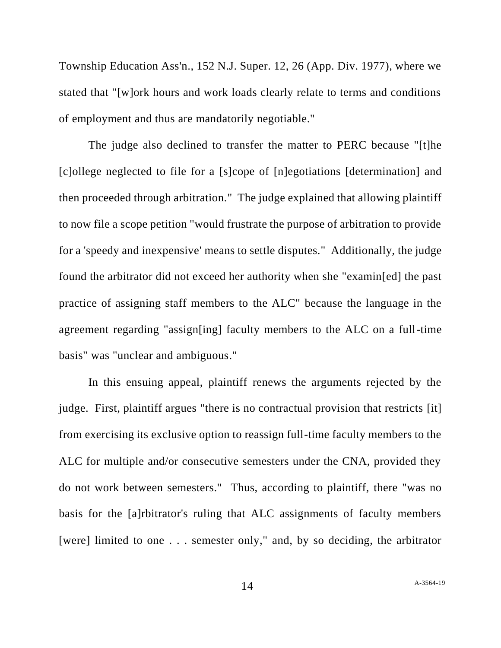Township Education Ass'n., 152 N.J. Super. 12, 26 (App. Div. 1977), where we stated that "[w]ork hours and work loads clearly relate to terms and conditions of employment and thus are mandatorily negotiable."

The judge also declined to transfer the matter to PERC because "[t]he [c]ollege neglected to file for a [s]cope of [n]egotiations [determination] and then proceeded through arbitration." The judge explained that allowing plaintiff to now file a scope petition "would frustrate the purpose of arbitration to provide for a 'speedy and inexpensive' means to settle disputes." Additionally, the judge found the arbitrator did not exceed her authority when she "examin[ed] the past practice of assigning staff members to the ALC" because the language in the agreement regarding "assign[ing] faculty members to the ALC on a full-time basis" was "unclear and ambiguous."

In this ensuing appeal, plaintiff renews the arguments rejected by the judge. First, plaintiff argues "there is no contractual provision that restricts [it] from exercising its exclusive option to reassign full-time faculty members to the ALC for multiple and/or consecutive semesters under the CNA, provided they do not work between semesters." Thus, according to plaintiff, there "was no basis for the [a]rbitrator's ruling that ALC assignments of faculty members [were] limited to one . . . semester only," and, by so deciding, the arbitrator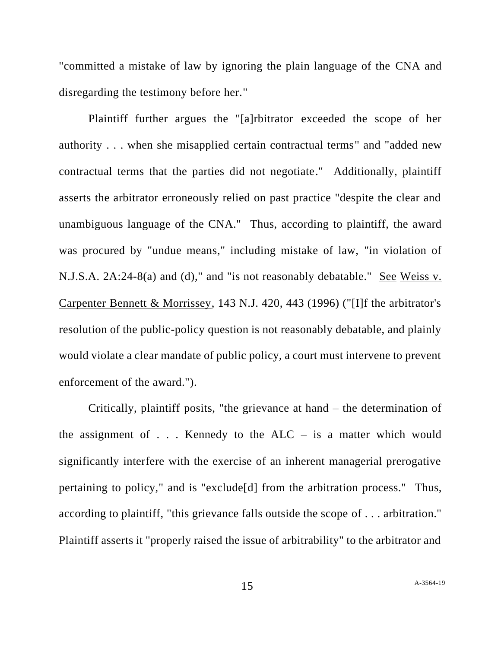"committed a mistake of law by ignoring the plain language of the CNA and disregarding the testimony before her."

Plaintiff further argues the "[a]rbitrator exceeded the scope of her authority . . . when she misapplied certain contractual terms" and "added new contractual terms that the parties did not negotiate." Additionally, plaintiff asserts the arbitrator erroneously relied on past practice "despite the clear and unambiguous language of the CNA." Thus, according to plaintiff, the award was procured by "undue means," including mistake of law, "in violation of N.J.S.A. 2A:24-8(a) and (d)," and "is not reasonably debatable." See Weiss v. Carpenter Bennett & Morrissey, 143 N.J. 420, 443 (1996) ("[I]f the arbitrator's resolution of the public-policy question is not reasonably debatable, and plainly would violate a clear mandate of public policy, a court must intervene to prevent enforcement of the award.").

Critically, plaintiff posits, "the grievance at hand – the determination of the assignment of  $\ldots$ . Kennedy to the ALC – is a matter which would significantly interfere with the exercise of an inherent managerial prerogative pertaining to policy," and is "exclude[d] from the arbitration process." Thus, according to plaintiff, "this grievance falls outside the scope of . . . arbitration." Plaintiff asserts it "properly raised the issue of arbitrability" to the arbitrator and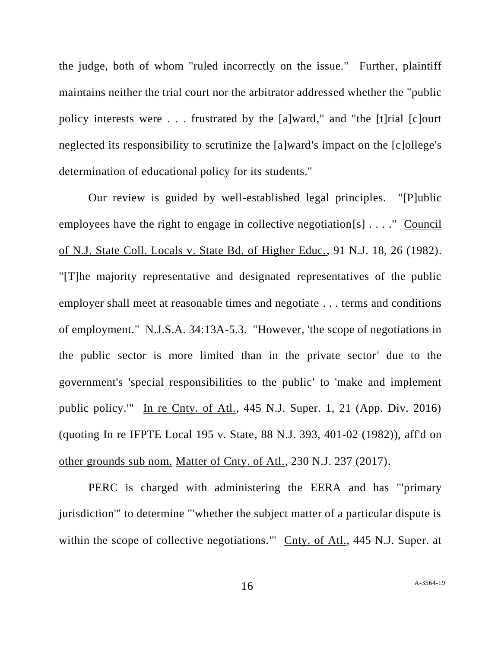the judge, both of whom "ruled incorrectly on the issue." Further, plaintiff maintains neither the trial court nor the arbitrator addressed whether the "public policy interests were . . . frustrated by the [a]ward," and "the [t]rial [c]ourt neglected its responsibility to scrutinize the [a]ward's impact on the [c]ollege's determination of educational policy for its students."

Our review is guided by well-established legal principles. "[P]ublic employees have the right to engage in collective negotiation[s] . . . ." Council of N.J. State Coll. Locals v. State Bd. of Higher Educ., 91 N.J. 18, 26 (1982). "[T]he majority representative and designated representatives of the public employer shall meet at reasonable times and negotiate . . . terms and conditions of employment." N.J.S.A. 34:13A-5.3. "However, 'the scope of negotiations in the public sector is more limited than in the private sector' due to the government's 'special responsibilities to the public' to 'make and implement public policy.'" In re Cnty. of Atl., 445 N.J. Super. 1, 21 (App. Div. 2016) (quoting In re IFPTE Local 195 v. State, 88 N.J. 393, 401-02 (1982)), aff'd on other grounds sub nom. Matter of Cnty. of Atl., 230 N.J. 237 (2017).

PERC is charged with administering the EERA and has "'primary jurisdiction'" to determine "'whether the subject matter of a particular dispute is within the scope of collective negotiations." Cnty. of Atl., 445 N.J. Super. at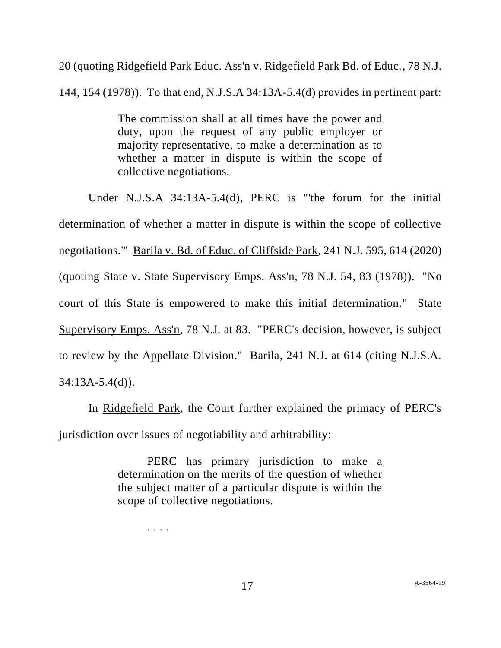20 (quoting Ridgefield Park Educ. Ass'n v. Ridgefield Park Bd. of Educ., 78 N.J.

144, 154 (1978)). To that end, N.J.S.A 34:13A-5.4(d) provides in pertinent part:

The commission shall at all times have the power and duty, upon the request of any public employer or majority representative, to make a determination as to whether a matter in dispute is within the scope of collective negotiations.

Under N.J.S.A 34:13A-5.4(d), PERC is "'the forum for the initial determination of whether a matter in dispute is within the scope of collective negotiations.'" Barila v. Bd. of Educ. of Cliffside Park, 241 N.J. 595, 614 (2020) (quoting State v. State Supervisory Emps. Ass'n, 78 N.J. 54, 83 (1978)). "No court of this State is empowered to make this initial determination." State Supervisory Emps. Ass'n, 78 N.J. at 83. "PERC's decision, however, is subject to review by the Appellate Division." Barila, 241 N.J. at 614 (citing N.J.S.A. 34:13A-5.4(d)).

In Ridgefield Park, the Court further explained the primacy of PERC's jurisdiction over issues of negotiability and arbitrability:

> PERC has primary jurisdiction to make a determination on the merits of the question of whether the subject matter of a particular dispute is within the scope of collective negotiations.

. . . .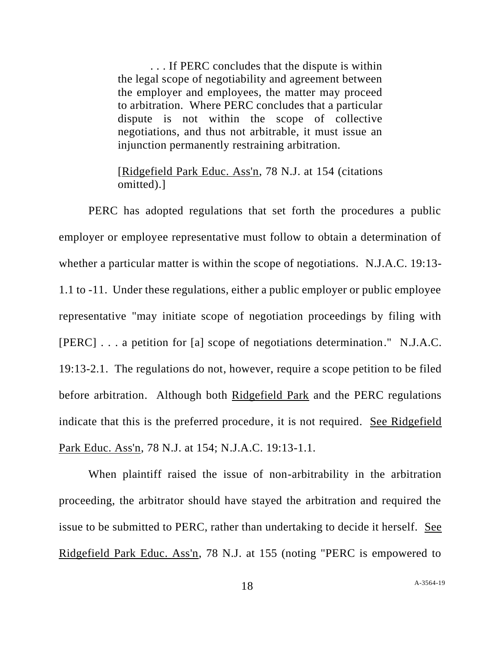. . . If PERC concludes that the dispute is within the legal scope of negotiability and agreement between the employer and employees, the matter may proceed to arbitration. Where PERC concludes that a particular dispute is not within the scope of collective negotiations, and thus not arbitrable, it must issue an injunction permanently restraining arbitration.

## [Ridgefield Park Educ. Ass'n, 78 N.J. at 154 (citations omitted).]

PERC has adopted regulations that set forth the procedures a public employer or employee representative must follow to obtain a determination of whether a particular matter is within the scope of negotiations. N.J.A.C. 19:13- 1.1 to -11. Under these regulations, either a public employer or public employee representative "may initiate scope of negotiation proceedings by filing with [PERC] . . . a petition for [a] scope of negotiations determination." N.J.A.C. 19:13-2.1. The regulations do not, however, require a scope petition to be filed before arbitration. Although both Ridgefield Park and the PERC regulations indicate that this is the preferred procedure, it is not required. See Ridgefield Park Educ. Ass'n, 78 N.J. at 154; N.J.A.C. 19:13-1.1.

When plaintiff raised the issue of non-arbitrability in the arbitration proceeding, the arbitrator should have stayed the arbitration and required the issue to be submitted to PERC, rather than undertaking to decide it herself. See Ridgefield Park Educ. Ass'n, 78 N.J. at 155 (noting "PERC is empowered to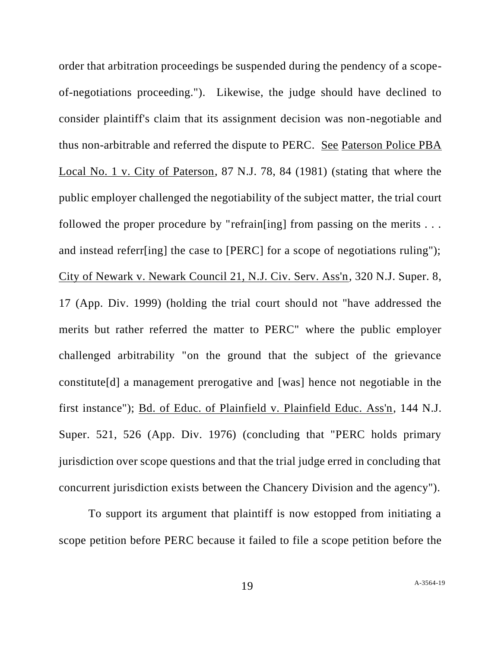order that arbitration proceedings be suspended during the pendency of a scopeof-negotiations proceeding."). Likewise, the judge should have declined to consider plaintiff's claim that its assignment decision was non-negotiable and thus non-arbitrable and referred the dispute to PERC. See Paterson Police PBA Local No. 1 v. City of Paterson, 87 N.J. 78, 84 (1981) (stating that where the public employer challenged the negotiability of the subject matter, the trial court followed the proper procedure by "refrain[ing] from passing on the merits . . . and instead referr[ing] the case to [PERC] for a scope of negotiations ruling"); City of Newark v. Newark Council 21, N.J. Civ. Serv. Ass'n, 320 N.J. Super. 8, 17 (App. Div. 1999) (holding the trial court should not "have addressed the merits but rather referred the matter to PERC" where the public employer challenged arbitrability "on the ground that the subject of the grievance constitute[d] a management prerogative and [was] hence not negotiable in the first instance"); Bd. of Educ. of Plainfield v. Plainfield Educ. Ass'n, 144 N.J. Super. 521, 526 (App. Div. 1976) (concluding that "PERC holds primary jurisdiction over scope questions and that the trial judge erred in concluding that concurrent jurisdiction exists between the Chancery Division and the agency").

To support its argument that plaintiff is now estopped from initiating a scope petition before PERC because it failed to file a scope petition before the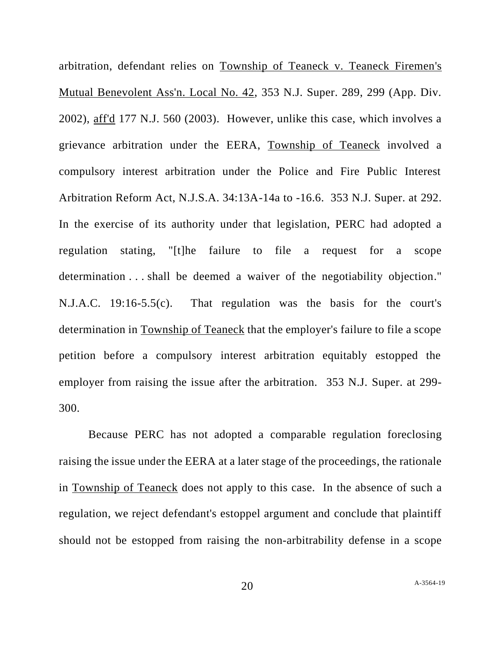arbitration, defendant relies on Township of Teaneck v. Teaneck Firemen's Mutual Benevolent Ass'n. Local No. 42, 353 N.J. Super. 289, 299 (App. Div. 2002), aff'd 177 N.J. 560 (2003). However, unlike this case, which involves a grievance arbitration under the EERA, Township of Teaneck involved a compulsory interest arbitration under the Police and Fire Public Interest Arbitration Reform Act, N.J.S.A. 34:13A-14a to -16.6. 353 N.J. Super. at 292. In the exercise of its authority under that legislation, PERC had adopted a regulation stating, "[t]he failure to file a request for a scope determination . . . shall be deemed a waiver of the negotiability objection." N.J.A.C. 19:16-5.5(c). That regulation was the basis for the court's determination in Township of Teaneck that the employer's failure to file a scope petition before a compulsory interest arbitration equitably estopped the employer from raising the issue after the arbitration. 353 N.J. Super. at 299- 300.

Because PERC has not adopted a comparable regulation foreclosing raising the issue under the EERA at a later stage of the proceedings, the rationale in Township of Teaneck does not apply to this case. In the absence of such a regulation, we reject defendant's estoppel argument and conclude that plaintiff should not be estopped from raising the non-arbitrability defense in a scope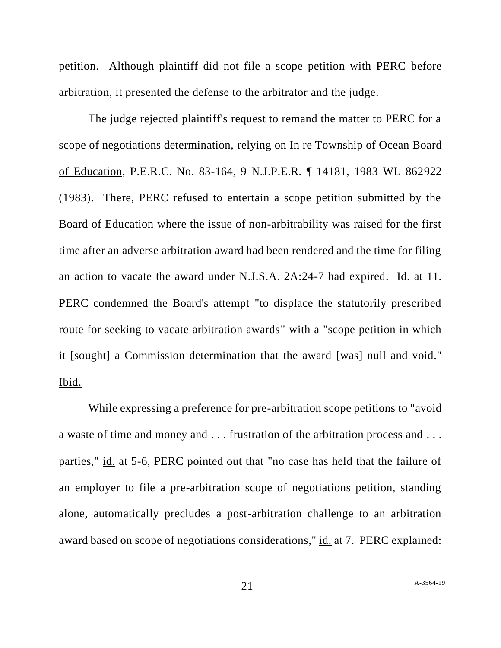petition. Although plaintiff did not file a scope petition with PERC before arbitration, it presented the defense to the arbitrator and the judge.

The judge rejected plaintiff's request to remand the matter to PERC for a scope of negotiations determination, relying on In re Township of Ocean Board of Education, P.E.R.C. No. 83-164, 9 N.J.P.E.R. ¶ 14181, 1983 WL 862922 (1983). There, PERC refused to entertain a scope petition submitted by the Board of Education where the issue of non-arbitrability was raised for the first time after an adverse arbitration award had been rendered and the time for filing an action to vacate the award under N.J.S.A. 2A:24-7 had expired. Id. at 11. PERC condemned the Board's attempt "to displace the statutorily prescribed route for seeking to vacate arbitration awards" with a "scope petition in which it [sought] a Commission determination that the award [was] null and void." Ibid.

While expressing a preference for pre-arbitration scope petitions to "avoid a waste of time and money and . . . frustration of the arbitration process and . . . parties," id. at 5-6, PERC pointed out that "no case has held that the failure of an employer to file a pre-arbitration scope of negotiations petition, standing alone, automatically precludes a post-arbitration challenge to an arbitration award based on scope of negotiations considerations," id. at 7. PERC explained: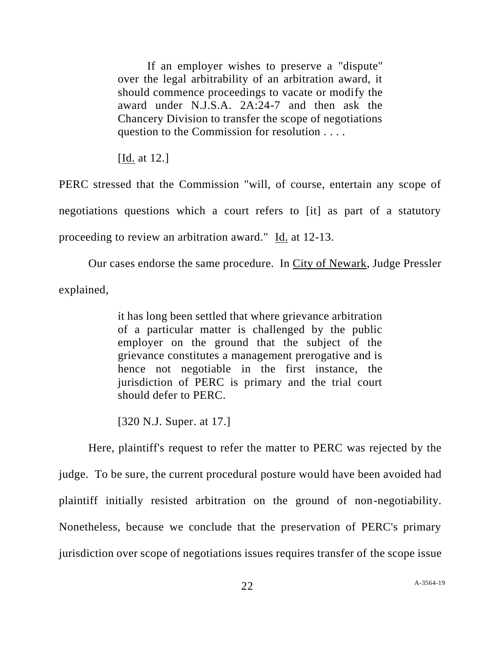If an employer wishes to preserve a "dispute" over the legal arbitrability of an arbitration award, it should commence proceedings to vacate or modify the award under N.J.S.A. 2A:24-7 and then ask the Chancery Division to transfer the scope of negotiations question to the Commission for resolution . . . .

[Id. at 12.]

PERC stressed that the Commission "will, of course, entertain any scope of negotiations questions which a court refers to [it] as part of a statutory proceeding to review an arbitration award." Id. at 12-13.

Our cases endorse the same procedure. In City of Newark, Judge Pressler explained,

> it has long been settled that where grievance arbitration of a particular matter is challenged by the public employer on the ground that the subject of the grievance constitutes a management prerogative and is hence not negotiable in the first instance, the jurisdiction of PERC is primary and the trial court should defer to PERC.

[320 N.J. Super. at 17.]

Here, plaintiff's request to refer the matter to PERC was rejected by the judge. To be sure, the current procedural posture would have been avoided had plaintiff initially resisted arbitration on the ground of non-negotiability. Nonetheless, because we conclude that the preservation of PERC's primary jurisdiction over scope of negotiations issues requires transfer of the scope issue